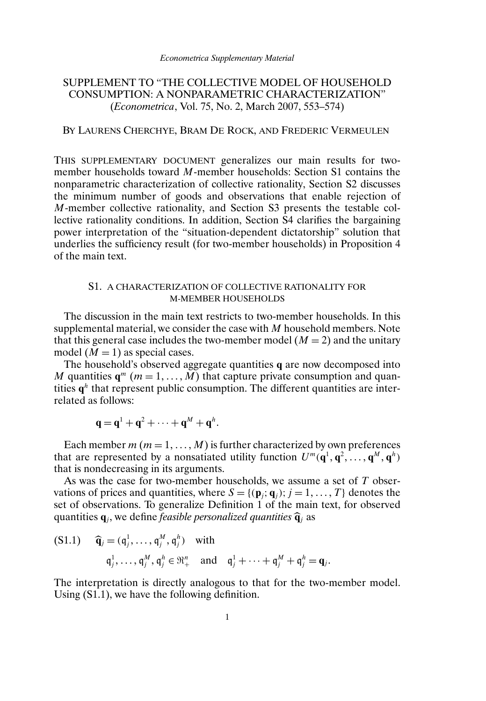## SUPPLEMENT TO "THE COLLECTIVE MODEL OF HOUSEHOLD CONSUMPTION: A NONPARAMETRIC CHARACTERIZATION" (*Econometrica*, Vol. 75, No. 2, March 2007, 553–574)

## BY LAURENS CHERCHYE, BRAM DE ROCK, AND FREDERIC VERMEULEN

THIS SUPPLEMENTARY DOCUMENT generalizes our main results for twomember households toward M-member households: Section S1 contains the nonparametric characterization of collective rationality, Section S2 discusses the minimum number of goods and observations that enable rejection of M-member collective rationality, and Section S3 presents the testable collective rationality conditions. In addition, Section S4 clarifies the bargaining power interpretation of the "situation-dependent dictatorship" solution that underlies the sufficiency result (for two-member households) in Proposition 4 of the main text.

## S1. A CHARACTERIZATION OF COLLECTIVE RATIONALITY FOR M-MEMBER HOUSEHOLDS

The discussion in the main text restricts to two-member households. In this supplemental material, we consider the case with  $M$  household members. Note that this general case includes the two-member model  $(M = 2)$  and the unitary model  $(M = 1)$  as special cases.

The household's observed aggregate quantities **q** are now decomposed into M quantities  $q^m$  ( $m = 1, ..., M$ ) that capture private consumption and quantities  $q<sup>h</sup>$  that represent public consumption. The different quantities are interrelated as follows:

$$
\mathbf{q} = \mathbf{q}^1 + \mathbf{q}^2 + \cdots + \mathbf{q}^M + \mathbf{q}^h.
$$

Each member  $m (m = 1, ..., M)$  is further characterized by own preferences that are represented by a nonsatiated utility function  $U^m(\mathbf{q}^1, \mathbf{q}^2, \dots, \mathbf{q}^M, \mathbf{q}^h)$ that is nondecreasing in its arguments.

As was the case for two-member households, we assume a set of  $T$  observations of prices and quantities, where  $S = \{(\mathbf{p}_j; \mathbf{q}_j); j = 1, ..., T\}$  denotes the set of observations. To generalize Definition 1 of the main text, for observed quantities  $\mathbf{q}_i$ , we define *feasible personalized quantities*  $\hat{\mathbf{q}}_i$  as

(S1.1) 
$$
\widehat{\mathbf{q}}_j = (q_j^1, \dots, q_j^M, q_j^h) \text{ with}
$$

$$
q_j^1, \dots, q_j^M, q_j^h \in \mathbb{R}_+^n \text{ and } q_j^1 + \dots + q_j^M + q_j^h = \mathbf{q}_j.
$$

The interpretation is directly analogous to that for the two-member model. Using (S1.1), we have the following definition.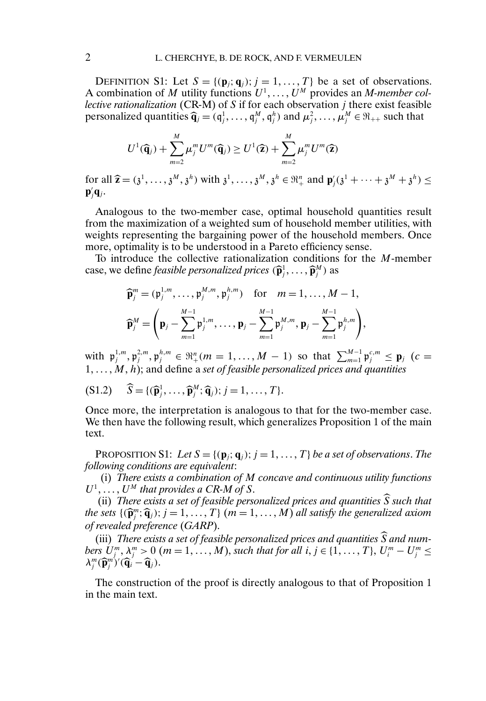DEFINITION S1: Let  $S = \{(\mathbf{p}_j; \mathbf{q}_j); j = 1, ..., T\}$  be a set of observations. A combination of M utility functions  $U^1, \ldots, U^M$  provides an *M-member collective rationalization* (CR-M) of S if for each observation j there exist feasible personalized quantities  $\widehat{\mathbf{q}}_j = (q_j^1, \dots, q_j^M, q_j^h)$  and  $\mu_j^2, \dots, \mu_j^M \in \mathfrak{R}_{++}$  such that

$$
U^{1}(\widehat{\mathbf{q}}_{j}) + \sum_{m=2}^{M} \mu_{j}^{m} U^{m}(\widehat{\mathbf{q}}_{j}) \geq U^{1}(\widehat{\mathbf{z}}) + \sum_{m=2}^{M} \mu_{j}^{m} U^{m}(\widehat{\mathbf{z}})
$$

for all  $\widehat{\mathbf{z}} = (\mathfrak{z}^1, \dots, \mathfrak{z}^M, \mathfrak{z}^h)$  with  $\mathfrak{z}^1, \dots, \mathfrak{z}^M, \mathfrak{z}^h \in \mathbb{R}^n_+$  and  $\mathbf{p}'_j(\mathfrak{z}^1 + \dots + \mathfrak{z}^M + \mathfrak{z}^h) \leq \mathbf{p}'_j \mathbf{q}$ .  $\mathbf{p}'_j\mathbf{q}_j$ .

Analogous to the two-member case, optimal household quantities result from the maximization of a weighted sum of household member utilities, with weights representing the bargaining power of the household members. Once more, optimality is to be understood in a Pareto efficiency sense.

To introduce the collective rationalization conditions for the M-member case, we define *feasible personalized prices*  $(\widehat{\mathbf{p}}_j^1, \ldots, \widehat{\mathbf{p}}_j^M)$  as

$$
\widehat{\mathbf{p}}_{j}^{m} = (\mathfrak{p}_{j}^{1,m}, \ldots, \mathfrak{p}_{j}^{M,m}, \mathfrak{p}_{j}^{h,m}) \text{ for } m = 1, \ldots, M-1,
$$
  

$$
\widehat{\mathbf{p}}_{j}^{M} = \left(\mathbf{p}_{j} - \sum_{m=1}^{M-1} \mathfrak{p}_{j}^{1,m}, \ldots, \mathbf{p}_{j} - \sum_{m=1}^{M-1} \mathfrak{p}_{j}^{M,m}, \mathbf{p}_{j} - \sum_{m=1}^{M-1} \mathfrak{p}_{j}^{h,m}\right),
$$

with  $\mathfrak{p}_j^{1,m}, \mathfrak{p}_j^{2,m}, \mathfrak{p}_j^{h,m} \in \mathfrak{R}_+^n (m = 1, ..., M - 1)$  so that  $\sum_{m=1}^{M-1} \mathfrak{p}_j^{c,m} \le \mathfrak{p}_j$  (c =  $1, \ldots, M, h$ ; and define a *set of feasible personalized prices and quantities* 

$$
(S1.2) \quad \widehat{S} = \{(\widehat{\mathbf{p}}_j^1, \ldots, \widehat{\mathbf{p}}_j^M; \widehat{\mathbf{q}}_j); j = 1, \ldots, T\}.
$$

Once more, the interpretation is analogous to that for the two-member case. We then have the following result, which generalizes Proposition 1 of the main text.

PROPOSITION S1: Let  $S = \{(\mathbf{p}_j; \mathbf{q}_j); j = 1, \ldots, T\}$  *be a set of observations. The following conditions are equivalent*:

(i) *There exists a combination of* M *concave and continuous utility functions*  $U^1, \ldots, U^M$  that provides a CR-M of S.

(ii) *There exists a set of feasible personalized prices and quantities*  $\widehat{S}$  *such that the sets*  $\{(\widehat{\mathbf{p}}_j^m; \widehat{\mathbf{q}}_j); j = 1, ..., T\}$  ( $m = 1, ..., M$ ) all satisfy the generalized axiom<br>of revealed preference ( $CAP$ ) *of revealed preference* (*GARP*).

(iii) *There exists a set of feasible personalized prices and quantities* <sup>S</sup> *and num*bers  $U_j^m, \lambda_j^m > 0$   $(m = 1, ..., M)$ , such that for all  $i, j \in \{1, ..., T\}$ ,  $U_i^m - U_j^m \leq 1$  $\lambda_j^m (\widehat{\mathbf{p}}_j^m)'(\widehat{\mathbf{q}}_i - \widehat{\mathbf{q}}_j).$ 

The construction of the proof is directly analogous to that of Proposition 1 in the main text.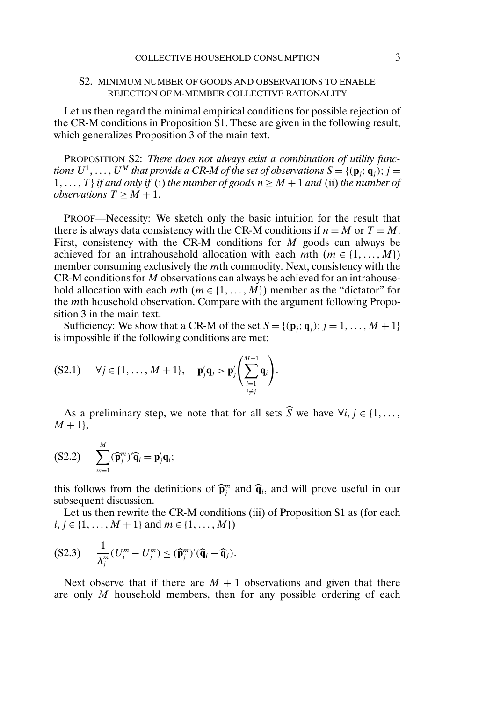### S2. MINIMUM NUMBER OF GOODS AND OBSERVATIONS TO ENABLE REJECTION OF M-MEMBER COLLECTIVE RATIONALITY

Let us then regard the minimal empirical conditions for possible rejection of the CR-M conditions in Proposition S1. These are given in the following result, which generalizes Proposition 3 of the main text.

PROPOSITION S2: *There does not always exist a combination of utility func*tions  $U^1,\ldots,U^M$  that provide a CR-M of the set of observations  $S = \{(\mathbf{p}_j; \mathbf{q}_j); j = j\}$ 1, ..., T} *if and only if* (i) *the number of goods*  $n \geq M + 1$  *and* (ii) *the number of observations*  $T \geq M + 1$ .

PROOF—Necessity: We sketch only the basic intuition for the result that there is always data consistency with the CR-M conditions if  $n = M$  or  $T = M$ . First, consistency with the CR-M conditions for  $M$  goods can always be achieved for an intrahousehold allocation with each mth  $(m \in \{1, ..., M\})$ member consuming exclusively the mth commodity. Next, consistency with the CR-M conditions for M observations can always be achieved for an intrahousehold allocation with each mth  $(m \in \{1, ..., M\})$  member as the "dictator" for the mth household observation. Compare with the argument following Proposition 3 in the main text.

Sufficiency: We show that a CR-M of the set  $S = \{(\mathbf{p}_j; \mathbf{q}_j); j = 1, ..., M + 1\}$ is impossible if the following conditions are met:

$$
(S2.1) \quad \forall j \in \{1,\ldots,M+1\}, \quad \mathbf{p}'_j\mathbf{q}_j > \mathbf{p}'_j\Biggl(\sum_{\substack{i=1\\i\neq j}}^{M+1}\mathbf{q}_i\Biggr).
$$

As a preliminary step, we note that for all sets S we have  $\forall i, j \in \{1, ...,$  $M + 1$ ,

$$
(S2.2) \qquad \sum_{m=1}^{M} (\widehat{\mathbf{p}}_{j}^{m})^{\prime} \widehat{\mathbf{q}}_{i} = \mathbf{p}_{j}^{\prime} \mathbf{q}_{i};
$$

this follows from the definitions of  $\hat{\mathbf{p}}_j^m$  and  $\hat{\mathbf{q}}_i$ , and will prove useful in our subsequent discussion subsequent discussion.

Let us then rewrite the CR-M conditions (iii) of Proposition S1 as (for each  $i, j \in \{1, ..., M + 1\}$  and  $m \in \{1, ..., M\}$ 

$$
(S2.3) \qquad \frac{1}{\lambda_j^m} (U_i^m - U_j^m) \leq (\widehat{\mathbf{p}}_j^m)' (\widehat{\mathbf{q}}_i - \widehat{\mathbf{q}}_j).
$$

Next observe that if there are  $M + 1$  observations and given that there are only M household members, then for any possible ordering of each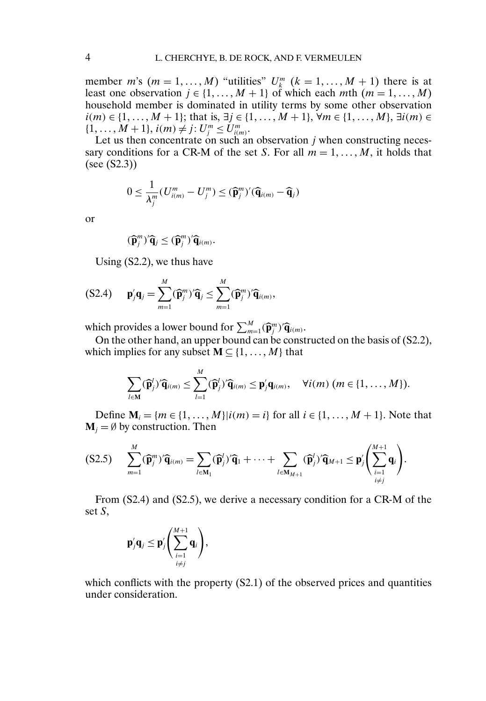member *m*'s  $(m = 1, ..., M)$  "utilities"  $U_k^m$   $(k = 1, ..., M + 1)$  there is at least one observation  $j \in \{1, ..., M + 1\}$  of which each mth  $(m = 1, ..., M)$ household member is dominated in utility terms by some other observation  $i(m) \in \{1, ..., M + 1\}$ ; that is, ∃j ∈ {1, ..., M + 1},  $\forall m \in \{1, ..., M\}$ , ∃i(m) ∈  $\{1,\ldots,M+1\}, i(m) \neq j: U_j^m \leq U_{i(m)}^m.$ 

Let us then concentrate on such an observation  $j$  when constructing necessary conditions for a CR-M of the set S. For all  $m = 1, \ldots, M$ , it holds that (see (S2.3))

$$
0 \leq \frac{1}{\lambda_j^m} (U_{i(m)}^m - U_j^m) \leq (\widehat{\mathbf{p}}_j^m)' (\widehat{\mathbf{q}}_{i(m)} - \widehat{\mathbf{q}}_j)
$$

or

$$
(\widehat{\mathbf{p}}_j^m)^{\prime}\widehat{\mathbf{q}}_j \leq (\widehat{\mathbf{p}}_j^m)^{\prime}\widehat{\mathbf{q}}_{i(m)}.
$$

Using (S2.2), we thus have

$$
(S2.4) \t\mathbf{p}'_j \mathbf{q}_j = \sum_{m=1}^M (\widehat{\mathbf{p}}_j^m)^r \widehat{\mathbf{q}}_j \leq \sum_{m=1}^M (\widehat{\mathbf{p}}_j^m)^r \widehat{\mathbf{q}}_{i(m)},
$$

which provides a lower bound for  $\sum_{m=1}^{M} (\hat{\mathbf{p}}_{i}^{m})' \hat{\mathbf{q}}_{i(m)}$ .<br>On the other hand, an unner bound can be const

On the other hand, an upper bound can be constructed on the basis of (S2.2), which implies for any subset  $M \subseteq \{1, ..., M\}$  that

$$
\sum_{l\in \mathbf{M}} (\widehat{\mathbf{p}}'_j)^{\prime} \widehat{\mathbf{q}}_{i(m)} \leq \sum_{l=1}^M (\widehat{\mathbf{p}}'_j)^{\prime} \widehat{\mathbf{q}}_{i(m)} \leq \mathbf{p}'_j \mathbf{q}_{i(m)}, \quad \forall i(m) \ (m \in \{1, \ldots, M\}).
$$

Define  $M_i = \{m \in \{1, ..., M\} | i(m) = i\}$  for all  $i \in \{1, ..., M + 1\}$ . Note that  $M_i = \emptyset$  by construction. Then

$$
(S2.5) \qquad \sum_{m=1}^{M} (\widehat{\mathbf{p}}_{j}^{m})^{\prime} \widehat{\mathbf{q}}_{i(m)} = \sum_{l \in \mathbf{M}_{1}} (\widehat{\mathbf{p}}_{j}^{l})^{\prime} \widehat{\mathbf{q}}_{1} + \cdots + \sum_{l \in \mathbf{M}_{M+1}} (\widehat{\mathbf{p}}_{j}^{l})^{\prime} \widehat{\mathbf{q}}_{M+1} \leq \mathbf{p}_{j}^{\prime} \left( \sum_{\substack{i=1 \\ i \neq j}}^{M+1} \mathbf{q}_{i} \right).
$$

From (S2.4) and (S2.5), we derive a necessary condition for a CR-M of the set S,

$$
\mathbf{p}'_j \mathbf{q}_j \leq \mathbf{p}'_j \left( \sum_{\substack{i=1 \\ i \neq j}}^{M+1} \mathbf{q}_i \right),
$$

which conflicts with the property (S2.1) of the observed prices and quantities under consideration.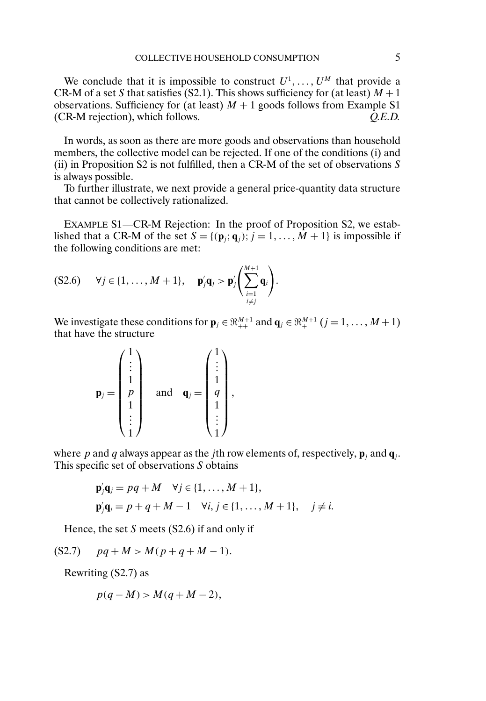We conclude that it is impossible to construct  $U^1, \ldots, U^M$  that provide a CR-M of a set S that satisfies (S2.1). This shows sufficiency for (at least)  $M + 1$ observations. Sufficiency for (at least)  $M + 1$  goods follows from Example S1 (CR-M rejection), which follows. *Q.E.D.*

In words, as soon as there are more goods and observations than household members, the collective model can be rejected. If one of the conditions (i) and (ii) in Proposition S2 is not fulfilled, then a CR-M of the set of observations  $S$ is always possible.

To further illustrate, we next provide a general price-quantity data structure that cannot be collectively rationalized.

EXAMPLE S1—CR-M Rejection: In the proof of Proposition S2, we established that a CR-M of the set  $S = \{(\mathbf{p}_j; \mathbf{q}_j) : j = 1, ..., M + 1\}$  is impossible if the following conditions are met:

$$
(S2.6) \quad \forall j \in \{1,\ldots,M+1\}, \quad \mathbf{p}'_j\mathbf{q}_j > \mathbf{p}'_j\Biggl(\sum_{\substack{i=1\\i\neq j}}^{M+1}\mathbf{q}_i\Biggr).
$$

We investigate these conditions for  $\mathbf{p}_j \in \mathbb{R}_{++}^{M+1}$  and  $\mathbf{q}_j \in \mathbb{R}_{++}^{M+1}$   $(j = 1, ..., M+1)$ that have the structure

$$
\mathbf{p}_{j} = \begin{pmatrix} 1 \\ \vdots \\ 1 \\ p \\ 1 \\ \vdots \\ 1 \end{pmatrix} \quad \text{and} \quad \mathbf{q}_{j} = \begin{pmatrix} 1 \\ \vdots \\ 1 \\ q \\ \vdots \\ 1 \end{pmatrix},
$$

where p and q always appear as the jth row elements of, respectively,  $\mathbf{p}_i$  and  $\mathbf{q}_i$ . This specific set of observations S obtains

$$
\mathbf{p}'_j \mathbf{q}_j = pq + M \quad \forall j \in \{1, ..., M+1\},
$$
  

$$
\mathbf{p}'_j \mathbf{q}_i = p + q + M - 1 \quad \forall i, j \in \{1, ..., M+1\}, \quad j \neq i.
$$

Hence, the set  $S$  meets  $(S2.6)$  if and only if

(S2.7)  $pq + M > M(p + q + M - 1).$ 

Rewriting (S2.7) as

$$
p(q-M) > M(q+M-2),
$$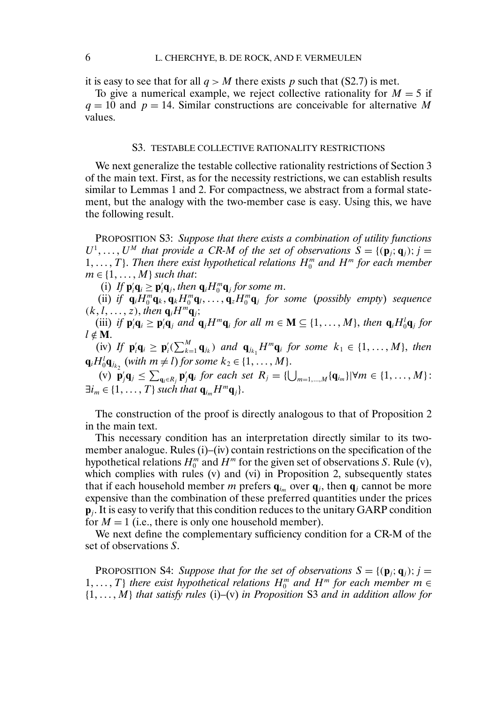it is easy to see that for all  $q > M$  there exists p such that (S2.7) is met.

To give a numerical example, we reject collective rationality for  $M = 5$  if  $q = 10$  and  $p = 14$ . Similar constructions are conceivable for alternative M values.

#### S3. TESTABLE COLLECTIVE RATIONALITY RESTRICTIONS

We next generalize the testable collective rationality restrictions of Section 3 of the main text. First, as for the necessity restrictions, we can establish results similar to Lemmas 1 and 2. For compactness, we abstract from a formal statement, but the analogy with the two-member case is easy. Using this, we have the following result.

PROPOSITION S3: *Suppose that there exists a combination of utility functions*  $U^1, \ldots, U^M$  that provide a CR-M of the set of observations  $S = \{(\mathbf{p}_j; \mathbf{q}_j); j = j\}$  $1, \ldots, T$ }. Then there exist hypothetical relations  $H_0^m$  and  $H^m$  for each member  $m \in \{1, \ldots, M\}$  such that:

(i) If  $\mathbf{p}_i' \mathbf{q}_i \ge \mathbf{p}_i' \mathbf{q}_j$ , then  $\mathbf{q}_i H_0^m \mathbf{q}_j$  for some m.

(ii) *if*  $\mathbf{q}_i H_0^m \mathbf{q}_k, \mathbf{q}_k H_0^m \mathbf{q}_l, \ldots, \mathbf{q}_z H_0^m \mathbf{q}_j$  for some (possibly empty) sequence  $(k, l, \ldots, z)$ , then  $\mathbf{q}_i H^m \mathbf{q}_j$ ;

(iii) if  $\mathbf{p}_i' \mathbf{q}_i \ge \mathbf{p}_i' \mathbf{q}_j$  and  $\mathbf{q}_j H^m \mathbf{q}_i$  for all  $m \in \mathbf{M} \subseteq \{1, ..., M\}$ , then  $\mathbf{q}_i H_0^l \mathbf{q}_j$  for  $l \notin M$ .

(iv) If  $\mathbf{p}'_i \mathbf{q}_i \ge \mathbf{p}'_i (\sum_{k=1}^M \mathbf{q}_{j_k})$  and  $\mathbf{q}_{j_{k_1}} H^m \mathbf{q}_i$  for some  $k_1 \in \{1, \ldots, M\}$ , then  $\mathbf{q}_i H_0^l \mathbf{q}_{i_{k_2}}$  (with  $m \neq l$ ) for some  $k_2 \in \{1, \ldots, M\}$ .

 $\mathbf{p}'_j \mathbf{q}_j \leq \sum_{\mathbf{q}_i \in R_j} \mathbf{p}'_j \mathbf{q}_i$  for each set  $R_j = \{\bigcup_{m=1,\dots,M} \{\mathbf{q}_{i_m}\} | \forall m \in \{1,\dots,M\}$ :  $\exists i_m \in \{1, \ldots, T\}$  such that  $\mathbf{q}_{i_m} H^m \mathbf{q}_j\}.$ 

The construction of the proof is directly analogous to that of Proposition 2 in the main text.

This necessary condition has an interpretation directly similar to its twomember analogue. Rules (i)–(iv) contain restrictions on the specification of the hypothetical relations  $H_0^m$  and  $H^m$  for the given set of observations S. Rule (v), which complies with rules (v) and (vi) in Proposition 2, subsequently states that if each household member m prefers  $q_{i_m}$  over  $q_j$ , then  $q_j$  cannot be more expensive than the combination of these preferred quantities under the prices **p**j. It is easy to verify that this condition reduces to the unitary GARP condition for  $M = 1$  (i.e., there is only one household member).

We next define the complementary sufficiency condition for a CR-M of the set of observations S.

**PROPOSITION S4:** *Suppose that for the set of observations*  $S = \{(\mathbf{p}_i; \mathbf{q}_i); j =$  $1, \ldots, T$  *there exist hypothetical relations*  $H_0^m$  *and*  $H^m$  *for each member*  $m \in$ {1---M} *that satisfy rules* (i)–(v) *in Proposition* S3 *and in addition allow for*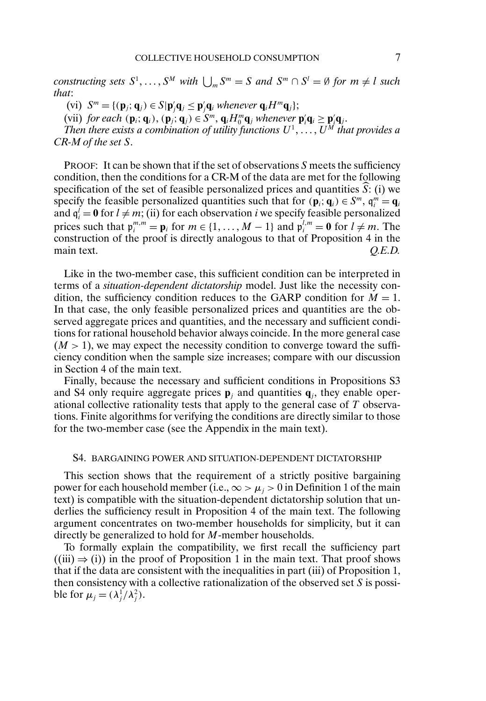$\alpha$  *constructing sets*  $S^1, \ldots, S^M$  *with*  $\bigcup_m S^m = S$  *and*  $S^m \cap S^l = \emptyset$  *for*  $m \neq l$  *such that*:

 $(\text{vi})$   $S^m = \{ (\mathbf{p}_j; \mathbf{q}_j) \in S | \mathbf{p}'_j \mathbf{q}_j \leq \mathbf{p}'_j \mathbf{q}_i \text{ whenever } \mathbf{q}_i H^m \mathbf{q}_j \};$ 

(vii) *for each* ( $\mathbf{p}_i$ ;  $\mathbf{q}_i$ ), ( $\mathbf{p}_j$ ;  $\mathbf{q}_j$ )  $\in S^m$ ,  $\mathbf{q}_i H_0^m \mathbf{q}_j$  whenever  $\mathbf{p}'_i \mathbf{q}_i \ge \mathbf{p}'_j \mathbf{q}_j$ .

Then there exists a combination of utility functions  $U^1, \ldots, U^M$  that provides a *CR-M of the set* S-

PROOF: It can be shown that if the set of observations  $S$  meets the sufficiency condition, then the conditions for a CR-M of the data are met for the following specification of the set of feasible personalized prices and quantities  $\widehat{S}$ : (i) we specify the feasible personalized quantities such that for  $(\mathbf{p}_i; \mathbf{q}_i) \in S^m$ ,  $\mathbf{q}_i^m = \mathbf{q}_i$ and  $q_i^l = 0$  for  $l \neq m$ ; (ii) for each observation *i* we specify feasible personalized prices such that  $\mathbf{p}_i^{m,m} = \mathbf{p}_i$  for  $m \in \{1, ..., M-1\}$  and  $\mathbf{p}_i^{l,m} = \mathbf{0}$  for  $l \neq m$ . The construction of the proof is directly analogous to that of Proposition 4 in the main text.  $Q.E.D.$ 

Like in the two-member case, this sufficient condition can be interpreted in terms of a *situation-dependent dictatorship* model. Just like the necessity condition, the sufficiency condition reduces to the GARP condition for  $M = 1$ . In that case, the only feasible personalized prices and quantities are the observed aggregate prices and quantities, and the necessary and sufficient conditions for rational household behavior always coincide. In the more general case  $(M > 1)$ , we may expect the necessity condition to converge toward the sufficiency condition when the sample size increases; compare with our discussion in Section 4 of the main text.

Finally, because the necessary and sufficient conditions in Propositions S3 and S4 only require aggregate prices  $\mathbf{p}_i$  and quantities  $\mathbf{q}_i$ , they enable operational collective rationality tests that apply to the general case of T observations. Finite algorithms for verifying the conditions are directly similar to those for the two-member case (see the Appendix in the main text).

#### S4. BARGAINING POWER AND SITUATION-DEPENDENT DICTATORSHIP

This section shows that the requirement of a strictly positive bargaining power for each household member (i.e.,  $\infty > \mu_i > 0$  in Definition 1 of the main text) is compatible with the situation-dependent dictatorship solution that underlies the sufficiency result in Proposition 4 of the main text. The following argument concentrates on two-member households for simplicity, but it can directly be generalized to hold for M-member households.

To formally explain the compatibility, we first recall the sufficiency part  $((iii) \Rightarrow (i))$  in the proof of Proposition 1 in the main text. That proof shows that if the data are consistent with the inequalities in part (iii) of Proposition 1, then consistency with a collective rationalization of the observed set  $S$  is possible for  $\mu_j = (\lambda_j^1/\lambda_j^2)$ .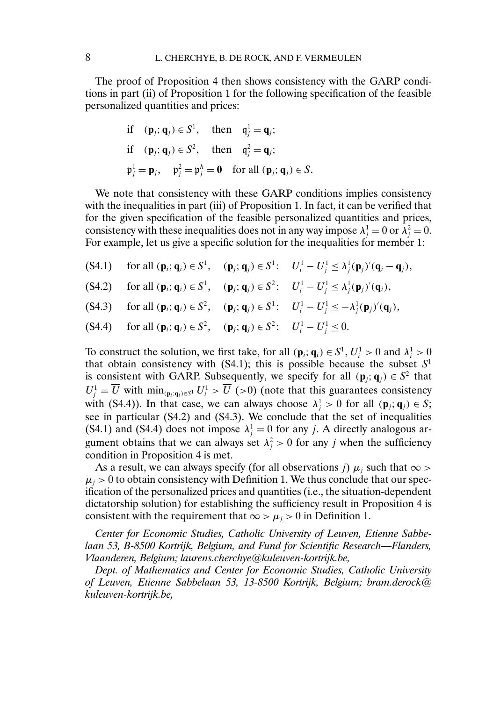The proof of Proposition 4 then shows consistency with the GARP conditions in part (ii) of Proposition 1 for the following specification of the feasible personalized quantities and prices:

if 
$$
(\mathbf{p}_j; \mathbf{q}_j) \in S^1
$$
, then  $\mathbf{q}_j^1 = \mathbf{q}_j$ ;  
if  $(\mathbf{p}_j; \mathbf{q}_j) \in S^2$ , then  $\mathbf{q}_j^2 = \mathbf{q}_j$ ;  
 $\mathbf{p}_j^1 = \mathbf{p}_j$ ,  $\mathbf{p}_j^2 = \mathbf{p}_j^h = \mathbf{0}$  for all  $(\mathbf{p}_j; \mathbf{q}_j) \in S$ .

We note that consistency with these GARP conditions implies consistency with the inequalities in part (iii) of Proposition 1. In fact, it can be verified that for the given specification of the feasible personalized quantities and prices, consistency with these inequalities does not in any way impose  $\lambda_j^1 = 0$  or  $\lambda_j^2 = 0$ . For example, let us give a specific solution for the inequalities for member 1:

- $f(S4.1)$  for all  $(\mathbf{p}_i; \mathbf{q}_i) \in S^1$ ,  $(\mathbf{p}_j; \mathbf{q}_j) \in S^1$ :  $U_i^1 U_j^1 \leq \lambda_j^1(\mathbf{p}_j)'(\mathbf{q}_i \mathbf{q}_j)$ ,
- $(54.2)$  for all  $(\mathbf{p}_i; \mathbf{q}_i) \in S^1$ ,  $(\mathbf{p}_j; \mathbf{q}_j) \in S^2$ :  $U_i^1 U_j^1 \leq \lambda_j^1(\mathbf{p}_j)'(\mathbf{q}_i)$ ,
- $(54.3)$  for all  $(\mathbf{p}_i; \mathbf{q}_i) \in S^2$ ,  $(\mathbf{p}_j; \mathbf{q}_j) \in S^1$ :  $U_i^1 U_j^1 \le -\lambda_j^1(\mathbf{p}_j)'(\mathbf{q}_j)$ ,
- $(54.4)$  for all  $(\mathbf{p}_i; \mathbf{q}_i) \in S^2$ ,  $(\mathbf{p}_j; \mathbf{q}_j) \in S^2$ :  $U_i^1 U_j^1 \leq 0$ .

To construct the solution, we first take, for all  $(\mathbf{p}_i; \mathbf{q}_i) \in S^1$ ,  $U_i^1 > 0$  and  $\lambda_i^1 > 0$ that obtain consistency with (S4.1); this is possible because the subset  $S<sup>1</sup>$ is consistent with GARP. Subsequently, we specify for all  $(\mathbf{p}_i; \mathbf{q}_i) \in S^2$  that  $U_j^1 = \overline{U}$  with  $\min_{(\mathbf{p}_i; \mathbf{q}_i) \in S^1} U_i^1 > \overline{U}$  (>0) (note that this guarantees consistency with (S4.4)). In that case, we can always choose  $\lambda_j^1 > 0$  for all  $(\mathbf{p}_j; \mathbf{q}_j) \in S$ ; see in particular (S4.2) and (S4.3). We conclude that the set of inequalities (S4.1) and (S4.4) does not impose  $\lambda_j^1 = 0$  for any j. A directly analogous argument obtains that we can always set  $\lambda_j^2 > 0$  for any j when the sufficiency condition in Proposition 4 is met.

As a result, we can always specify (for all observations j)  $\mu_i$  such that  $\infty$  >  $\mu_i > 0$  to obtain consistency with Definition 1. We thus conclude that our specification of the personalized prices and quantities (i.e., the situation-dependent dictatorship solution) for establishing the sufficiency result in Proposition 4 is consistent with the requirement that  $\infty > \mu_i > 0$  in Definition 1.

*Center for Economic Studies, Catholic University of Leuven, Etienne Sabbelaan 53, B-8500 Kortrijk, Belgium, and Fund for Scientific Research—Flanders, Vlaanderen, Belgium; laurens.cherchye@kuleuven-kortrijk.be,*

*Dept. of Mathematics and Center for Economic Studies, Catholic University of Leuven, Etienne Sabbelaan 53, 13-8500 Kortrijk, Belgium; bram.derock@ kuleuven-kortrijk.be,*